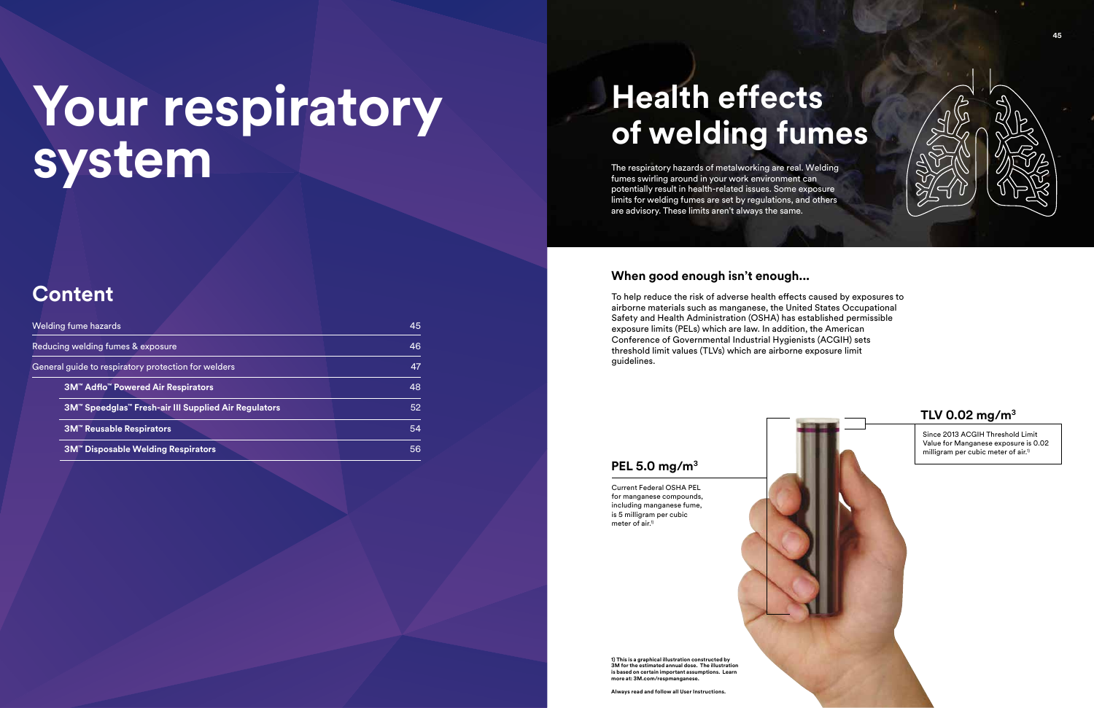# **Your respiratory system**

### **Content**

| Welding fume hazards                                            | 45 |
|-----------------------------------------------------------------|----|
| Reducing welding fumes & exposure                               | 46 |
| General guide to respiratory protection for welders             | 47 |
| <b>3M<sup>™</sup> Adflo<sup>™</sup> Powered Air Respirators</b> | 48 |
| 3M™ Speedglas™ Fresh-air III Supplied Air Regulators            | 52 |
| <b>3M<sup>™</sup> Reusable Respirators</b>                      | 54 |
| <b>3M<sup>™</sup> Disposable Welding Respirators</b>            | 56 |

## **Health effects of welding fumes**

**1) This is a graphical illustration constructed by 3M for the estimated annual dose. The illustration is based on certain important assumptions. Learn more at: 3M.com/respmanganese.**

Since 2013 ACGIH Threshold Limit Value for Manganese exposure is 0.02 milligram per cubic meter of air.<sup>1)</sup>



The respiratory hazards of metalworking are real. Welding fumes swirling around in your work environment can potentially result in health-related issues. Some exposure limits for welding fumes are set by regulations, and others are advisory. These limits aren't always the same.

Current Federal OSHA PEL for manganese compounds, including manganese fume, is 5 milligram per cubic meter of  $air<sup>1</sup>$ 

#### **PEL 5.0 mg/m3**

### **When good enough isn't enough...**

To help reduce the risk of adverse health effects caused by exposures to airborne materials such as manganese, the United States Occupational Safety and Health Administration (OSHA) has established permissible exposure limits (PELs) which are law. In addition, the American Conference of Governmental Industrial Hygienists (ACGIH) sets threshold limit values (TLVs) which are airborne exposure limit guidelines.



**Always read and follow all User Instructions.**